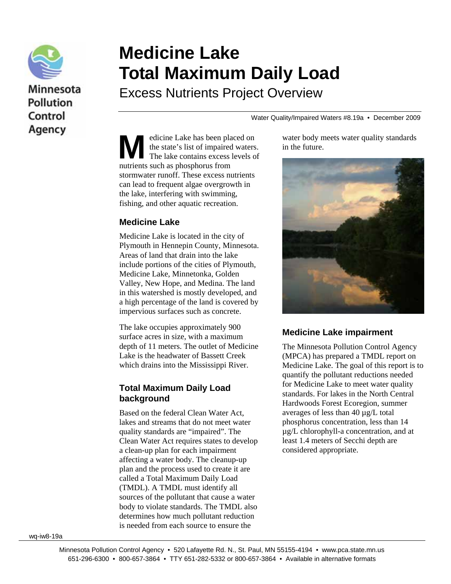

# Minnesota **Pollution** Control Agency

# **Medicine Lake Total Maximum Daily Load**

Excess Nutrients Project Overview

Water Quality/Impaired Waters #8.19a • December 2009

edicine Lake has been placed on the state's list of impaired waters. The lake contains excess levels of **M** edicine Lake has been planet the state's list of impaired The lake contains excess nutrients such as phosphorus from stormwater runoff. These excess nutrients can lead to frequent algae overgrowth in the lake, interfering with swimming, fishing, and other aquatic recreation.

#### **Medicine Lake**

Medicine Lake is located in the city of Plymouth in Hennepin County, Minnesota. Areas of land that drain into the lake include portions of the cities of Plymouth, Medicine Lake, Minnetonka, Golden Valley, New Hope, and Medina. The land in this watershed is mostly developed, and a high percentage of the land is covered by impervious surfaces such as concrete.

The lake occupies approximately 900 surface acres in size, with a maximum depth of 11 meters. The outlet of Medicine Lake is the headwater of Bassett Creek which drains into the Mississippi River.

#### **Total Maximum Daily Load background**

Based on the federal Clean Water Act, lakes and streams that do not meet water quality standards are "impaired". The Clean Water Act requires states to develop a clean-up plan for each impairment affecting a water body. The cleanup-up plan and the process used to create it are called a Total Maximum Daily Load (TMDL). A TMDL must identify all sources of the pollutant that cause a water body to violate standards. The TMDL also determines how much pollutant reduction is needed from each source to ensure the

water body meets water quality standards in the future.



#### **Medicine Lake impairment**

The Minnesota Pollution Control Agency (MPCA) has prepared a TMDL report on Medicine Lake. The goal of this report is to quantify the pollutant reductions needed for Medicine Lake to meet water quality standards. For lakes in the North Central Hardwoods Forest Ecoregion, summer averages of less than 40 µg/L total phosphorus concentration, less than 14 µg/L chlorophyll-a concentration, and at least 1.4 meters of Secchi depth are considered appropriate.

wq-iw8-19a